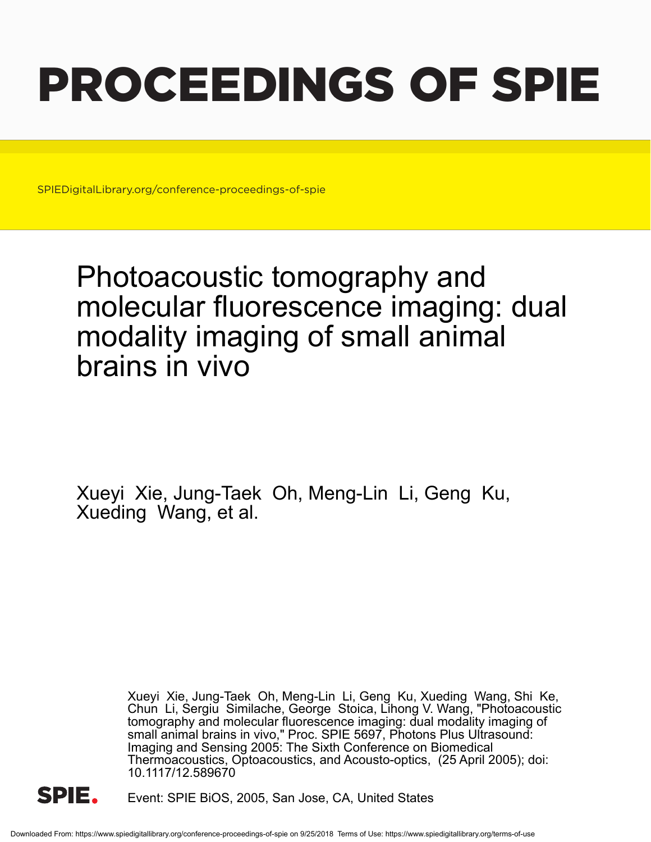# PROCEEDINGS OF SPIE

SPIEDigitalLibrary.org/conference-proceedings-of-spie

## Photoacoustic tomography and molecular fluorescence imaging: dual modality imaging of small animal brains in vivo

Xueyi Xie, Jung-Taek Oh, Meng-Lin Li, Geng Ku, Xueding Wang, et al.

> Xueyi Xie, Jung-Taek Oh, Meng-Lin Li, Geng Ku, Xueding Wang, Shi Ke, Chun Li, Sergiu Similache, George Stoica, Lihong V. Wang, "Photoacoustic tomography and molecular fluorescence imaging: dual modality imaging of small animal brains in vivo," Proc. SPIE 5697, Photons Plus Ultrasound: Imaging and Sensing 2005: The Sixth Conference on Biomedical Thermoacoustics, Optoacoustics, and Acousto-optics, (25 April 2005); doi: 10.1117/12.589670



Event: SPIE BiOS, 2005, San Jose, CA, United States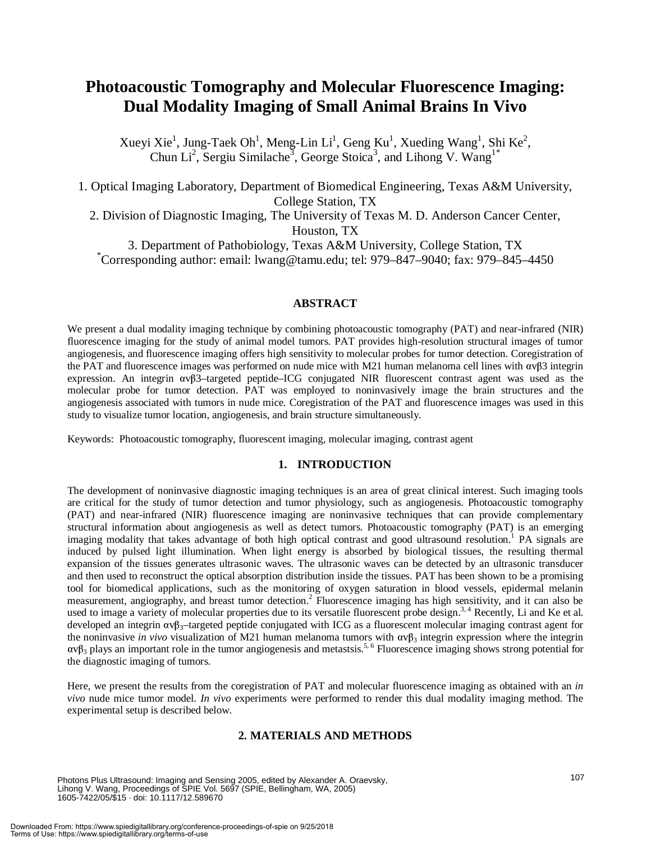### **Photoacoustic Tomography and Molecular Fluorescence Imaging: Dual Modality Imaging of Small Animal Brains In Vivo**

Xueyi Xie<sup>1</sup>, Jung-Taek Oh<sup>1</sup>, Meng-Lin Li<sup>1</sup>, Geng Ku<sup>1</sup>, Xueding Wang<sup>1</sup>, Shi Ke<sup>2</sup>, Chun Li<sup>2</sup>, Sergiu Similache<sup>3</sup>, George Stoica<sup>3</sup>, and Lihong V. Wang<sup>1\*</sup>

1. Optical Imaging Laboratory, Department of Biomedical Engineering, Texas A&M University, College Station, TX 2. Division of Diagnostic Imaging, The University of Texas M. D. Anderson Cancer Center,

Houston, TX

3. Department of Pathobiology, Texas A&M University, College Station, TX \* Corresponding author: email: lwang@tamu.edu; tel:  $979-847-9040$ ; fax:  $979-845-4450$ 

#### **ABSTRACT**

We present a dual modality imaging technique by combining photoacoustic tomography (PAT) and near-infrared (NIR) fluorescence imaging for the study of animal model tumors. PAT provides high-resolution structural images of tumor angiogenesis, and fluorescence imaging offers high sensitivity to molecular probes for tumor detection. Coregistration of the PAT and fluorescence images was performed on nude mice with M21 human melanoma cell lines with αvβ3 integrin expression. An integrin αvβ3–targeted peptide–ICG conjugated NIR fluorescent contrast agent was used as the molecular probe for tumor detection. PAT was employed to noninvasively image the brain structures and the angiogenesis associated with tumors in nude mice. Coregistration of the PAT and fluorescence images was used in this study to visualize tumor location, angiogenesis, and brain structure simultaneously.

Keywords: Photoacoustic tomography, fluorescent imaging, molecular imaging, contrast agent

#### **1. INTRODUCTION**

The development of noninvasive diagnostic imaging techniques is an area of great clinical interest. Such imaging tools are critical for the study of tumor detection and tumor physiology, such as angiogenesis. Photoacoustic tomography (PAT) and near-infrared (NIR) fluorescence imaging are noninvasive techniques that can provide complementary structural information about angiogenesis as well as detect tumors. Photoacoustic tomography (PAT) is an emerging imaging modality that takes advantage of both high optical contrast and good ultrasound resolution.<sup>1</sup> PA signals are induced by pulsed light illumination. When light energy is absorbed by biological tissues, the resulting thermal expansion of the tissues generates ultrasonic waves. The ultrasonic waves can be detected by an ultrasonic transducer and then used to reconstruct the optical absorption distribution inside the tissues. PAT has been shown to be a promising tool for biomedical applications, such as the monitoring of oxygen saturation in blood vessels, epidermal melanin measurement, angiography, and breast tumor detection.<sup>2</sup> Fluorescence imaging has high sensitivity, and it can also be used to image a variety of molecular properties due to its versatile fluorescent probe design.<sup>3, 4</sup> Recently, Li and Ke et al. developed an integrin  $\alpha v \beta_3$ -targeted peptide conjugated with ICG as a fluorescent molecular imaging contrast agent for the noninvasive *in vivo* visualization of M21 human melanoma tumors with  $\alpha v \beta_3$  integrin expression where the integrin  $\alpha v \beta_3$  plays an important role in the tumor angiogenesis and metastsis.<sup>5, 6</sup> Fluorescence imaging shows strong potential for the diagnostic imaging of tumors.

Here, we present the results from the coregistration of PAT and molecular fluorescence imaging as obtained with an *in vivo* nude mice tumor model. *In vivo* experiments were performed to render this dual modality imaging method. The experimental setup is described below.

#### **2. MATERIALS AND METHODS**

Photons Plus Ultrasound: Imaging and Sensing 2005, edited by Alexander A. Oraevsky, Lihong V. Wang, Proceedings of SPIE Vol. 5697 (SPIE, Bellingham, WA, 2005) 1605-7422/05/\$15 · doi: 10.1117/12.589670

Downloaded From: https://www.spiedigitallibrary.org/conference-proceedings-of-spie on 9/25/2018 Terms of Use: https://www.spiedigitallibrary.org/terms-of-use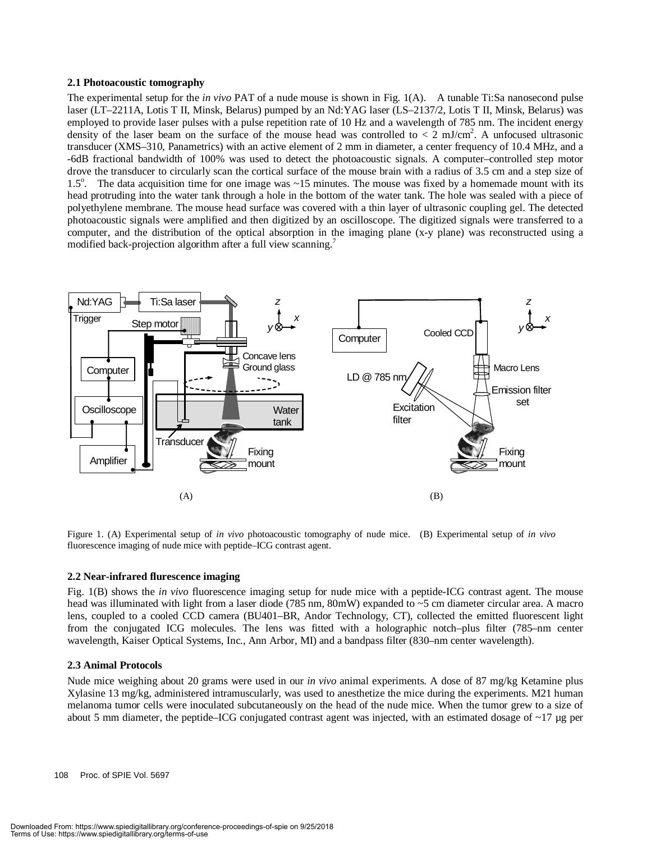#### **2.1 Photoacoustic tomography**

The experimental setup for the *in vivo* PAT of a nude mouse is shown in Fig. 1(A). A tunable Ti:Sa nanosecond pulse laser (LT–2211A, Lotis T II, Minsk, Belarus) pumped by an Nd:YAG laser (LS–2137/2, Lotis T II, Minsk, Belarus) was employed to provide laser pulses with a pulse repetition rate of 10 Hz and a wavelength of 785 nm. The incident energy density of the laser beam on the surface of the mouse head was controlled to  $\langle 2 \text{ mJ/cm}^2$ . A unfocused ultrasonic transducer (XMS–310, Panametrics) with an active element of 2 mm in diameter, a center frequency of 10.4 MHz, and a -6dB fractional bandwidth of 100% was used to detect the photoacoustic signals. A computer–controlled step motor drove the transducer to circularly scan the cortical surface of the mouse brain with a radius of 3.5 cm and a step size of 1.5<sup>o</sup>. The data acquisition time for one image was ~15 minutes. The mouse was fixed by a homemade mount with its head protruding into the water tank through a hole in the bottom of the water tank. The hole was sealed with a piece of polyethylene membrane. The mouse head surface was covered with a thin layer of ultrasonic coupling gel. The detected photoacoustic signals were amplified and then digitized by an oscilloscope. The digitized signals were transferred to a computer, and the distribution of the optical absorption in the imaging plane (x-y plane) was reconstructed using a modified back-projection algorithm after a full view scanning.<sup>7</sup>



Figure 1. (A) Experimental setup of *in vivo* photoacoustic tomography of nude mice. (B) Experimental setup of *in vivo* fluorescence imaging of nude mice with peptide–ICG contrast agent.

#### **2.2 Near-infrared flurescence imaging**

Fig. 1(B) shows the *in vivo* fluorescence imaging setup for nude mice with a peptide-ICG contrast agent. The mouse head was illuminated with light from a laser diode (785 nm, 80mW) expanded to ~5 cm diameter circular area. A macro lens, coupled to a cooled CCD camera (BU401–BR, Andor Technology, CT), collected the emitted fluorescent light from the conjugated ICG molecules. The lens was fitted with a holographic notch–plus filter (785–nm center wavelength, Kaiser Optical Systems, Inc., Ann Arbor, MI) and a bandpass filter (830–nm center wavelength).

#### **2.3 Animal Protocols**

Nude mice weighing about 20 grams were used in our *in vivo* animal experiments. A dose of 87 mg/kg Ketamine plus Xylasine 13 mg/kg, administered intramuscularly, was used to anesthetize the mice during the experiments. M21 human melanoma tumor cells were inoculated subcutaneously on the head of the nude mice. When the tumor grew to a size of about 5 mm diameter, the peptide–ICG conjugated contrast agent was injected, with an estimated dosage of ~17 µg per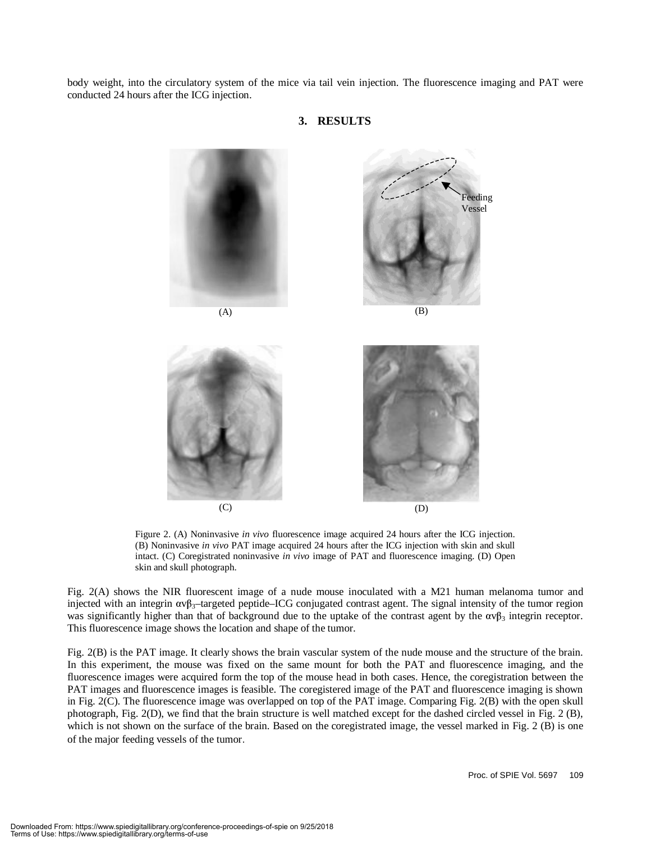body weight, into the circulatory system of the mice via tail vein injection. The fluorescence imaging and PAT were conducted 24 hours after the ICG injection.



#### **3. RESULTS**

Figure 2. (A) Noninvasive *in vivo* fluorescence image acquired 24 hours after the ICG injection. (B) Noninvasive *in vivo* PAT image acquired 24 hours after the ICG injection with skin and skull intact. (C) Coregistrated noninvasive *in vivo* image of PAT and fluorescence imaging. (D) Open skin and skull photograph.

Fig. 2(A) shows the NIR fluorescent image of a nude mouse inoculated with a M21 human melanoma tumor and injected with an integrin  $\alpha v \beta_3$ -targeted peptide–ICG conjugated contrast agent. The signal intensity of the tumor region was significantly higher than that of background due to the uptake of the contrast agent by the  $\alpha v \beta_3$  integrin receptor. This fluorescence image shows the location and shape of the tumor.

Fig. 2(B) is the PAT image. It clearly shows the brain vascular system of the nude mouse and the structure of the brain. In this experiment, the mouse was fixed on the same mount for both the PAT and fluorescence imaging, and the fluorescence images were acquired form the top of the mouse head in both cases. Hence, the coregistration between the PAT images and fluorescence images is feasible. The coregistered image of the PAT and fluorescence imaging is shown in Fig. 2(C). The fluorescence image was overlapped on top of the PAT image. Comparing Fig. 2(B) with the open skull photograph, Fig. 2(D), we find that the brain structure is well matched except for the dashed circled vessel in Fig. 2 (B), which is not shown on the surface of the brain. Based on the coregistrated image, the vessel marked in Fig. 2 (B) is one of the major feeding vessels of the tumor.